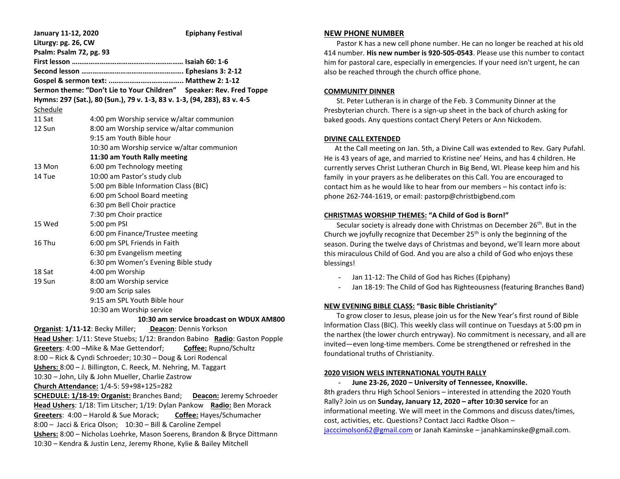| January 11-12, 2020                                                         |                                                         | <b>Epiphany Festival</b> |  |  |  |
|-----------------------------------------------------------------------------|---------------------------------------------------------|--------------------------|--|--|--|
| Liturgy: pg. 26, CW                                                         |                                                         |                          |  |  |  |
| Psalm: Psalm 72, pg. 93                                                     |                                                         |                          |  |  |  |
|                                                                             |                                                         |                          |  |  |  |
|                                                                             |                                                         |                          |  |  |  |
|                                                                             |                                                         |                          |  |  |  |
| Sermon theme: "Don't Lie to Your Children" Speaker: Rev. Fred Toppe         |                                                         |                          |  |  |  |
| Hymns: 297 (Sat.), 80 (Sun.), 79 v. 1-3, 83 v. 1-3, (94, 283), 83 v. 4-5    |                                                         |                          |  |  |  |
| <u>Schedule</u>                                                             |                                                         |                          |  |  |  |
| 11 Sat                                                                      | 4:00 pm Worship service w/altar communion               |                          |  |  |  |
| 12 Sun                                                                      | 8:00 am Worship service w/altar communion               |                          |  |  |  |
|                                                                             | 9:15 am Youth Bible hour                                |                          |  |  |  |
|                                                                             | 10:30 am Worship service w/altar communion              |                          |  |  |  |
|                                                                             | 11:30 am Youth Rally meeting                            |                          |  |  |  |
| 13 Mon                                                                      | 6:00 pm Technology meeting                              |                          |  |  |  |
| 14 Tue                                                                      | 10:00 am Pastor's study club                            |                          |  |  |  |
|                                                                             | 5:00 pm Bible Information Class (BIC)                   |                          |  |  |  |
|                                                                             | 6:00 pm School Board meeting                            |                          |  |  |  |
|                                                                             | 6:30 pm Bell Choir practice                             |                          |  |  |  |
|                                                                             | 7:30 pm Choir practice                                  |                          |  |  |  |
| 15 Wed                                                                      | 5:00 pm PSI                                             |                          |  |  |  |
|                                                                             | 6:00 pm Finance/Trustee meeting                         |                          |  |  |  |
| 16 Thu                                                                      | 6:00 pm SPL Friends in Faith                            |                          |  |  |  |
|                                                                             | 6:30 pm Evangelism meeting                              |                          |  |  |  |
|                                                                             | 6:30 pm Women's Evening Bible study                     |                          |  |  |  |
| 18 Sat                                                                      | 4:00 pm Worship                                         |                          |  |  |  |
| 19 Sun                                                                      | 8:00 am Worship service                                 |                          |  |  |  |
|                                                                             | 9:00 am Scrip sales                                     |                          |  |  |  |
|                                                                             | 9:15 am SPL Youth Bible hour                            |                          |  |  |  |
| 10:30 am Worship service                                                    |                                                         |                          |  |  |  |
| 10:30 am service broadcast on WDUX AM800                                    |                                                         |                          |  |  |  |
|                                                                             | Organist: 1/11-12: Becky Miller; Deacon: Dennis Yorkson |                          |  |  |  |
| Head Usher: 1/11: Steve Stuebs; 1/12: Brandon Babino Radio: Gaston Popple   |                                                         |                          |  |  |  |
| Greeters: 4:00 - Mike & Mae Gettendorf;<br>Coffee: Rupno/Schultz            |                                                         |                          |  |  |  |
| 8:00 - Rick & Cyndi Schroeder; 10:30 - Doug & Lori Rodencal                 |                                                         |                          |  |  |  |
| Ushers: 8:00 - J. Billington, C. Reeck, M. Nehring, M. Taggart              |                                                         |                          |  |  |  |
| 10:30 - John, Lily & John Mueller, Charlie Zastrow                          |                                                         |                          |  |  |  |
| Church Attendance: 1/4-5: 59+98+125=282                                     |                                                         |                          |  |  |  |
| <b>SCHEDULE: 1/18-19: Organist: Branches Band;</b> Deacon: Jeremy Schroeder |                                                         |                          |  |  |  |
| Head Ushers: 1/18: Tim Litscher; 1/19: Dylan Pankow Radio: Ben Morack       |                                                         |                          |  |  |  |
| Greeters: 4:00 - Harold & Sue Morack;<br>Coffee: Hayes/Schumacher           |                                                         |                          |  |  |  |
| 8:00 - Jacci & Erica Olson; 10:30 - Bill & Caroline Zempel                  |                                                         |                          |  |  |  |
| Ushers: 8:00 - Nicholas Loehrke, Mason Soerens, Brandon & Bryce Dittmann    |                                                         |                          |  |  |  |
| 10:30 - Kendra & Justin Lenz, Jeremy Rhone, Kylie & Bailey Mitchell         |                                                         |                          |  |  |  |

#### **NEW PHONE NUMBER**

 Pastor K has a new cell phone number. He can no longer be reached at his old 414 number. **His new number is 920-505-0543**. Please use this number to contact him for pastoral care, especially in emergencies. If your need isn't urgent, he can also be reached through the church office phone.

### **COMMUNITY DINNER**

 St. Peter Lutheran is in charge of the Feb. 3 Community Dinner at the Presbyterian church. There is a sign-up sheet in the back of church asking for baked goods. Any questions contact Cheryl Peters or Ann Nickodem.

## **DIVINE CALL EXTENDED**

 At the Call meeting on Jan. 5th, a Divine Call was extended to Rev. Gary Pufahl. He is 43 years of age, and married to Kristine nee' Heins, and has 4 children. He currently serves Christ Lutheran Church in Big Bend, WI. Please keep him and his family in your prayers as he deliberates on this Call. You are encouraged to contact him as he would like to hear from our members – his contact info is: phone 262-744-1619, or email: pastorp@christbigbend.com

# **CHRISTMAS WORSHIP THEMES: "A Child of God is Born!"**

Secular society is already done with Christmas on December 26<sup>th</sup>. But in the Church we joyfully recognize that December 25th is only the beginning of the season. During the twelve days of Christmas and beyond, we'll learn more about this miraculous Child of God. And you are also a child of God who enjoys these blessings!

- Jan 11-12: The Child of God has Riches (Epiphany)
- Jan 18-19: The Child of God has Righteousness (featuring Branches Band)

# **NEW EVENING BIBLE CLASS: "Basic Bible Christianity"**

 To grow closer to Jesus, please join us for the New Year's first round of Bible Information Class (BIC). This weekly class will continue on Tuesdays at 5:00 pm in the narthex (the lower church entryway). No commitment is necessary, and all are invited—even long-time members. Come be strengthened or refreshed in the foundational truths of Christianity.

# **2020 VISION WELS INTERNATIONAL YOUTH RALLY**

- **June 23-26, 2020 – University of Tennessee, Knoxville.**

8th graders thru High School Seniors – interested in attending the 2020 Youth Rally? Join us on **Sunday, January 12, 2020 – after 10:30 service** for an informational meeting. We will meet in the Commons and discuss dates/times, cost, activities, etc. Questions? Contact Jacci Radtke Olson – [jacccimolson62@gmail.com](mailto:jacccimolson62@gmail.com) or Janah Kaminske – janahkaminske@gmail.com.